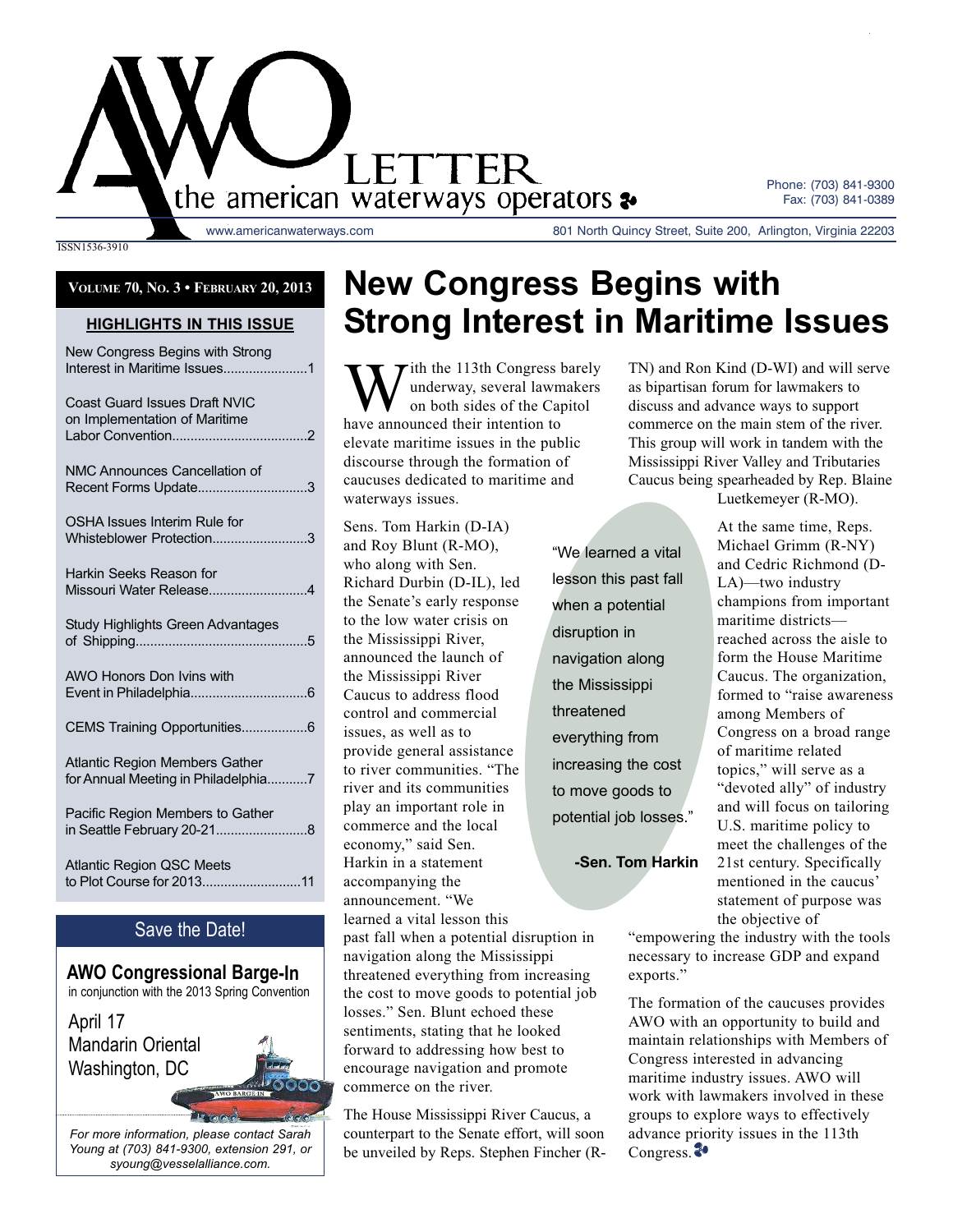LETTER the american waterways operators **\*** 

Phone: (703) 841-9300 Fax: (703) 841-0389

www.americanwaterways.com

801 North Quincy Street, Suite 200, Arlington, Virginia 22203

**VOLUME 70, NO. 3 • FEBRUARY 20, 2013**

ISSN1536-3910

#### **HIGHLIGHTS IN THIS ISSUE**

| New Congress Begins with Strong<br>Interest in Maritime Issues1              |
|------------------------------------------------------------------------------|
| <b>Coast Guard Issues Draft NVIC</b><br>on Implementation of Maritime        |
| NMC Announces Cancellation of<br>Recent Forms Update3                        |
| OSHA Issues Interim Rule for<br>Whisteblower Protection3                     |
| Harkin Seeks Reason for<br>Missouri Water Release4                           |
| Study Highlights Green Advantages                                            |
| AWO Honors Don Ivins with                                                    |
| CEMS Training Opportunities6                                                 |
| <b>Atlantic Region Members Gather</b><br>for Annual Meeting in Philadelphia7 |
| Pacific Region Members to Gather<br>in Seattle February 20-218               |
| <b>Atlantic Region QSC Meets</b><br>to Plot Course for 201311                |

#### Save the Date!

## **AWO Congressional Barge-In** in conjunction with the 2013 Spring Convention April 17 Mandarin Oriental Washington, DC

*For more information, please contact Sarah Young at (703) 841-9300, extension 291, or syoung@vesselalliance.com.*

# **New Congress Begins with Strong Interest in Maritime Issues**

ith the 113th Congress barely underway, several lawmakers on both sides of the Capitol have announced their intention to elevate maritime issues in the public discourse through the formation of caucuses dedicated to maritime and waterways issues.

Sens. Tom Harkin (D-IA) and Roy Blunt (R-MO), who along with Sen. Richard Durbin (D-IL), led the Senate's early response to the low water crisis on the Mississippi River, announced the launch of the Mississippi River Caucus to address flood control and commercial issues, as well as to provide general assistance to river communities. "The river and its communities play an important role in commerce and the local economy," said Sen. Harkin in a statement accompanying the announcement. "We learned a vital lesson this

past fall when a potential disruption in navigation along the Mississippi threatened everything from increasing the cost to move goods to potential job losses." Sen. Blunt echoed these sentiments, stating that he looked forward to addressing how best to encourage navigation and promote commerce on the river.

The House Mississippi River Caucus, a counterpart to the Senate effort, will soon be unveiled by Reps. Stephen Fincher (R-

"We learned a vital lesson this past fall when a potential disruption in navigation along the Mississippi threatened everything from increasing the cost to move goods to potential job losses."

**-Sen. Tom Harkin**

TN) and Ron Kind (D-WI) and will serve as bipartisan forum for lawmakers to discuss and advance ways to support commerce on the main stem of the river. This group will work in tandem with the Mississippi River Valley and Tributaries Caucus being spearheaded by Rep. Blaine

Luetkemeyer (R-MO).

At the same time, Reps. Michael Grimm (R-NY) and Cedric Richmond (D-LA)—two industry champions from important maritime districts reached across the aisle to form the House Maritime Caucus. The organization, formed to "raise awareness among Members of Congress on a broad range of maritime related topics," will serve as a "devoted ally" of industry and will focus on tailoring U.S. maritime policy to meet the challenges of the 21st century. Specifically mentioned in the caucus' statement of purpose was the objective of

"empowering the industry with the tools necessary to increase GDP and expand exports."

The formation of the caucuses provides AWO with an opportunity to build and maintain relationships with Members of Congress interested in advancing maritime industry issues. AWO will work with lawmakers involved in these groups to explore ways to effectively advance priority issues in the 113th Congress.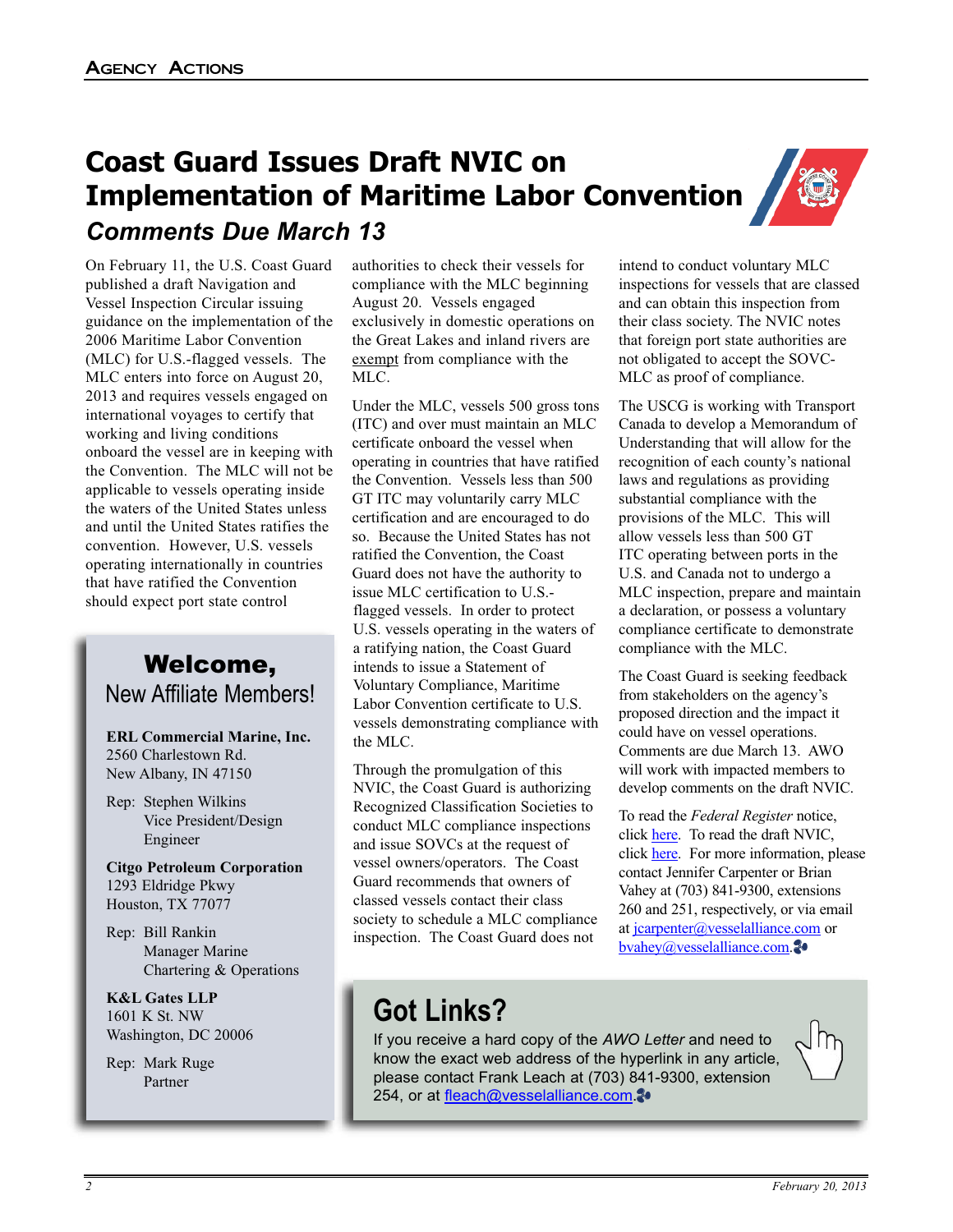## *Comments Due March 13* **Coast Guard Issues Draft NVIC on Implementation of Maritime Labor Convention**



On February 11, the U.S. Coast Guard published a draft Navigation and Vessel Inspection Circular issuing guidance on the implementation of the 2006 Maritime Labor Convention (MLC) for U.S.-flagged vessels. The MLC enters into force on August 20, 2013 and requires vessels engaged on international voyages to certify that working and living conditions onboard the vessel are in keeping with the Convention. The MLC will not be applicable to vessels operating inside the waters of the United States unless and until the United States ratifies the convention. However, U.S. vessels operating internationally in countries that have ratified the Convention should expect port state control

#### Welcome, New Affiliate Members!

**ERL Commercial Marine, Inc.** 2560 Charlestown Rd. New Albany, IN 47150

Rep: Stephen Wilkins Vice President/Design Engineer

**Citgo Petroleum Corporation** 1293 Eldridge Pkwy Houston, TX 77077

Rep: Bill Rankin Manager Marine Chartering & Operations

**K&L Gates LLP** 1601 K St. NW Washington, DC 20006

Rep: Mark Ruge Partner

authorities to check their vessels for compliance with the MLC beginning August 20. Vessels engaged exclusively in domestic operations on the Great Lakes and inland rivers are exempt from compliance with the MLC.

Under the MLC, vessels 500 gross tons (ITC) and over must maintain an MLC certificate onboard the vessel when operating in countries that have ratified the Convention. Vessels less than 500 GT ITC may voluntarily carry MLC certification and are encouraged to do so. Because the United States has not ratified the Convention, the Coast Guard does not have the authority to issue MLC certification to U.S. flagged vessels. In order to protect U.S. vessels operating in the waters of a ratifying nation, the Coast Guard intends to issue a Statement of Voluntary Compliance, Maritime Labor Convention certificate to U.S. vessels demonstrating compliance with the MLC.

Through the promulgation of this NVIC, the Coast Guard is authorizing Recognized Classification Societies to conduct MLC compliance inspections and issue SOVCs at the request of vessel owners/operators. The Coast Guard recommends that owners of classed vessels contact their class society to schedule a MLC compliance inspection. The Coast Guard does not

intend to conduct voluntary MLC inspections for vessels that are classed and can obtain this inspection from their class society. The NVIC notes that foreign port state authorities are not obligated to accept the SOVC-MLC as proof of compliance.

The USCG is working with Transport Canada to develop a Memorandum of Understanding that will allow for the recognition of each county's national laws and regulations as providing substantial compliance with the provisions of the MLC. This will allow vessels less than 500 GT ITC operating between ports in the U.S. and Canada not to undergo a MLC inspection, prepare and maintain a declaration, or possess a voluntary compliance certificate to demonstrate compliance with the MLC.

The Coast Guard is seeking feedback from stakeholders on the agency's proposed direction and the impact it could have on vessel operations. Comments are due March 13. AWO will work with impacted members to develop comments on the draft NVIC.

To read the *Federal Register* notice, click [here.](https://www.federalregister.gov/articles/2013/02/11/2013-02956/draft-guidance-regarding-voluntary-inspection-of-vessels-for-compliance-with-the-maritime-labour) To read the draft NVIC, click [here.](http://www.americanwaterways.com/index/MLCNVICCompleteDraft.pdf) For more information, please contact Jennifer Carpenter or Brian Vahey at (703) 841-9300, extensions 260 and 251, respectively, or via email at jcarpenter@vesselalliance.com or bvahey@vesselalliance.com.<sup>3•</sup>

# **Got Links?**

If you receive a hard copy of the *AWO Letter* and need to know the exact web address of the hyperlink in any article, please contact Frank Leach at (703) 841-9300, extension 254, or at fleach@vesselalliance.com.<sup>3</sup>•

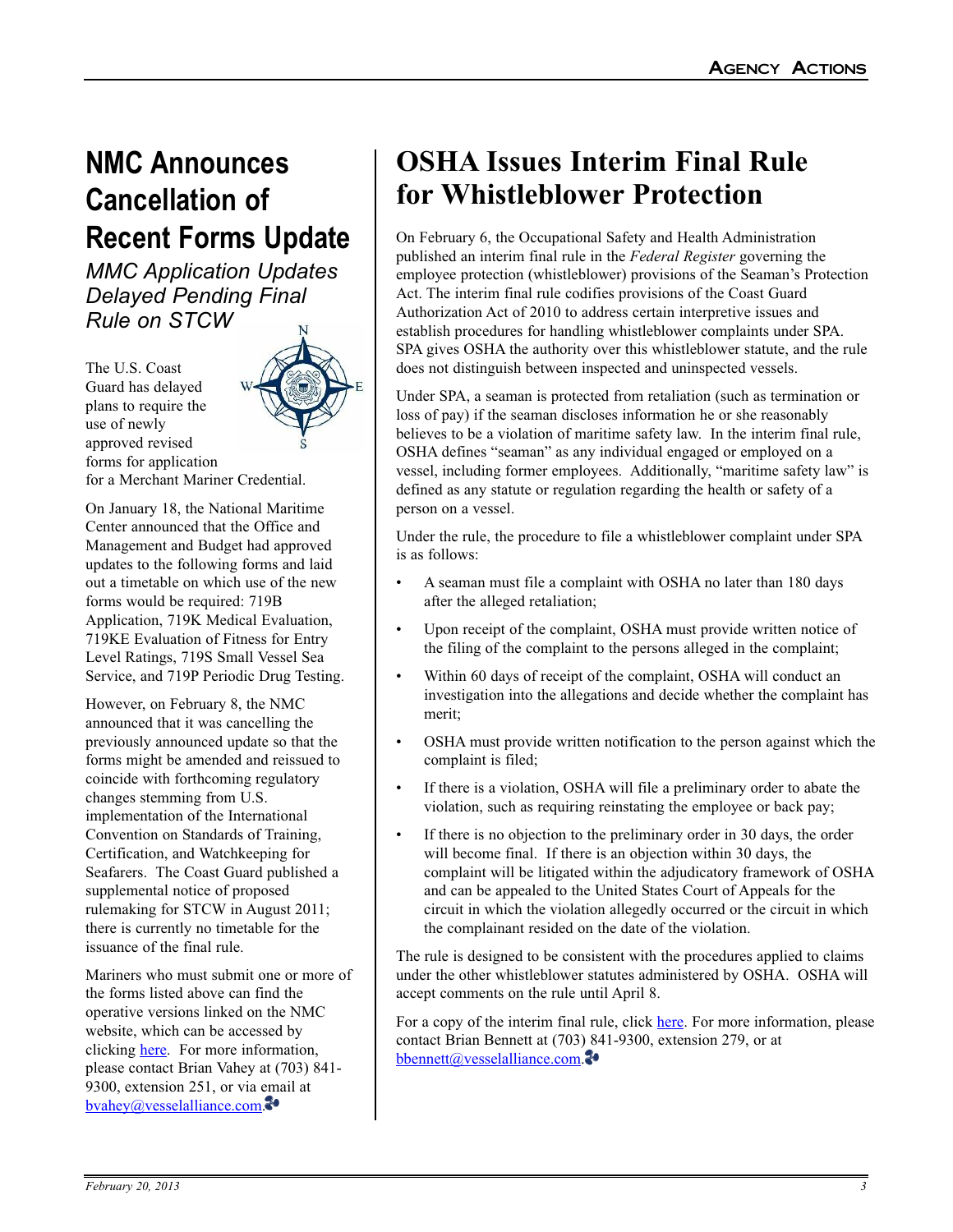# **NMC Announces Cancellation of**

*MMC Application Updates Delayed Pending Final Rule on STCW*

The U.S. Coast Guard has delayed plans to require the use of newly approved revised forms for application for a Merchant Mariner Credential.

On January 18, the National Maritime Center announced that the Office and Management and Budget had approved updates to the following forms and laid out a timetable on which use of the new forms would be required: 719B Application, 719K Medical Evaluation, 719KE Evaluation of Fitness for Entry Level Ratings, 719S Small Vessel Sea Service, and 719P Periodic Drug Testing.

However, on February 8, the NMC announced that it was cancelling the previously announced update so that the forms might be amended and reissued to coincide with forthcoming regulatory changes stemming from U.S. implementation of the International Convention on Standards of Training, Certification, and Watchkeeping for Seafarers. The Coast Guard published a supplemental notice of proposed rulemaking for STCW in August 2011; there is currently no timetable for the issuance of the final rule.

Mariners who must submit one or more of the forms listed above can find the operative versions linked on the NMC [website,](http://www.uscg.mil/nmc/) which can be accessed by clicking here. For more information, please contact Brian Vahey at (703) 841- 9300, extension 251, or via email at bvahey@vesselalliance.com.<sup>30</sup>

# **OSHA Issues Interim Final Rule for Whistleblower Protection**

**Recent Forms Update** | On February 6, the Occupational Safety and Health Administration published an interim final rule in the *Federal Register* governing the employee protection (whistleblower) provisions of the Seaman's Protection Act. The interim final rule codifies provisions of the Coast Guard Authorization Act of 2010 to address certain interpretive issues and establish procedures for handling whistleblower complaints under SPA. SPA gives OSHA the authority over this whistleblower statute, and the rule does not distinguish between inspected and uninspected vessels.

> Under SPA, a seaman is protected from retaliation (such as termination or loss of pay) if the seaman discloses information he or she reasonably believes to be a violation of maritime safety law. In the interim final rule, OSHA defines "seaman" as any individual engaged or employed on a vessel, including former employees. Additionally, "maritime safety law" is defined as any statute or regulation regarding the health or safety of a person on a vessel.

Under the rule, the procedure to file a whistleblower complaint under SPA is as follows:

- A seaman must file a complaint with OSHA no later than 180 days after the alleged retaliation;
- Upon receipt of the complaint, OSHA must provide written notice of the filing of the complaint to the persons alleged in the complaint;
- Within 60 days of receipt of the complaint, OSHA will conduct an investigation into the allegations and decide whether the complaint has merit;
- OSHA must provide written notification to the person against which the complaint is filed;
- If there is a violation, OSHA will file a preliminary order to abate the violation, such as requiring reinstating the employee or back pay;
- If there is no objection to the preliminary order in 30 days, the order will become final. If there is an objection within 30 days, the complaint will be litigated within the adjudicatory framework of OSHA and can be appealed to the United States Court of Appeals for the circuit in which the violation allegedly occurred or the circuit in which the complainant resided on the date of the violation.

The rule is designed to be consistent with the procedures applied to claims under the other whistleblower statutes administered by OSHA. OSHA will accept comments on the rule until April 8.

For a copy of the interim final rule, click here. For more information, please contact Brian Bennett at (703) 841-9300, [extensio](http://www.gpo.gov/fdsys/pkg/FR-2013-02-06/pdf/2013-02539.pdf)n 279, or at bbennett@vesselalliance.com. $\bullet$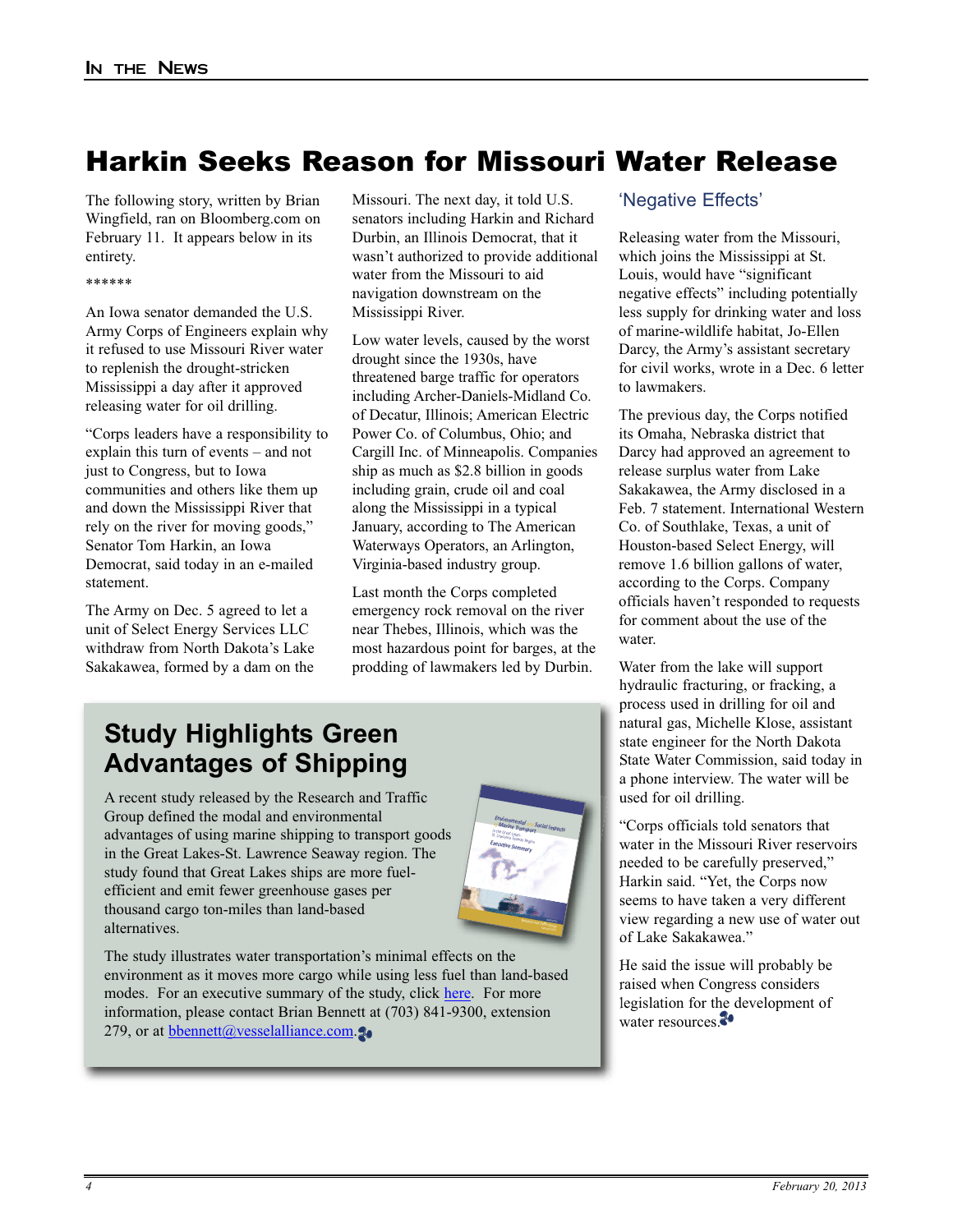#### Harkin Seeks Reason for Missouri Water Release

The following story, written by Brian Wingfield, ran on Bloomberg.com on February 11. It appears below in its entirety.

#### \*\*\*\*\*\*

An Iowa senator demanded the U.S. Army Corps of Engineers explain why it refused to use Missouri River water to replenish the drought-stricken Mississippi a day after it approved releasing water for oil drilling.

"Corps leaders have a responsibility to explain this turn of events – and not just to Congress, but to Iowa communities and others like them up and down the Mississippi River that rely on the river for moving goods," Senator Tom Harkin, an Iowa Democrat, said today in an e-mailed statement.

The Army on Dec. 5 agreed to let a unit of Select Energy Services LLC withdraw from North Dakota's Lake Sakakawea, formed by a dam on the

Missouri. The next day, it told U.S. senators including Harkin and Richard Durbin, an Illinois Democrat, that it wasn't authorized to provide additional water from the Missouri to aid navigation downstream on the Mississippi River.

Low water levels, caused by the worst drought since the 1930s, have threatened barge traffic for operators including Archer-Daniels-Midland Co. of Decatur, Illinois; American Electric Power Co. of Columbus, Ohio; and Cargill Inc. of Minneapolis. Companies ship as much as \$2.8 billion in goods including grain, crude oil and coal along the Mississippi in a typical January, according to The American Waterways Operators, an Arlington, Virginia-based industry group.

Last month the Corps completed emergency rock removal on the river near Thebes, Illinois, which was the most hazardous point for barges, at the prodding of lawmakers led by Durbin.

#### 'Negative Effects'

Releasing water from the Missouri, which joins the Mississippi at St. Louis, would have "significant negative effects" including potentially less supply for drinking water and loss of marine-wildlife habitat, Jo-Ellen Darcy, the Army's assistant secretary for civil works, wrote in a Dec. 6 letter to lawmakers.

The previous day, the Corps notified its Omaha, Nebraska district that Darcy had approved an agreement to release surplus water from Lake Sakakawea, the Army disclosed in a Feb. 7 statement. International Western Co. of Southlake, Texas, a unit of Houston-based Select Energy, will remove 1.6 billion gallons of water, according to the Corps. Company officials haven't responded to requests for comment about the use of the water.

Water from the lake will support hydraulic fracturing, or fracking, a process used in drilling for oil and natural gas, Michelle Klose, assistant state engineer for the North Dakota State Water Commission, said today in a phone interview. The water will be used for oil drilling.

"Corps officials told senators that water in the Missouri River reservoirs needed to be carefully preserved," Harkin said. "Yet, the Corps now seems to have taken a very different view regarding a new use of water out of Lake Sakakawea."

He said the issue will probably be raised when Congress considers legislation for the development of water resources.<sup>30</sup>

#### **Study Highlights Green [Advantages](http://www.marinedelivers.com/sites/default/files/documents/impacts-exec-sum.pdf) of Shipping**

A recent study released by the Research and Traffic Group defined the modal and environmental advantages of using marine shipping to transport goods in the Great Lakes-St. Lawrence Seaway region. The study found that Great Lakes ships are more fuelefficient and emit fewer greenhouse gases per thousand cargo ton-miles than land-based alternatives.



The study illustrates water transportation's minimal effects on the environment as it moves more cargo while using less fuel than land-based modes. For an executive summary of the study, click here. For more information, please contact Brian Bennett at (703) 841-9300, extension 279, or at  $\underline{b}$  bennett@vesselalliance.com.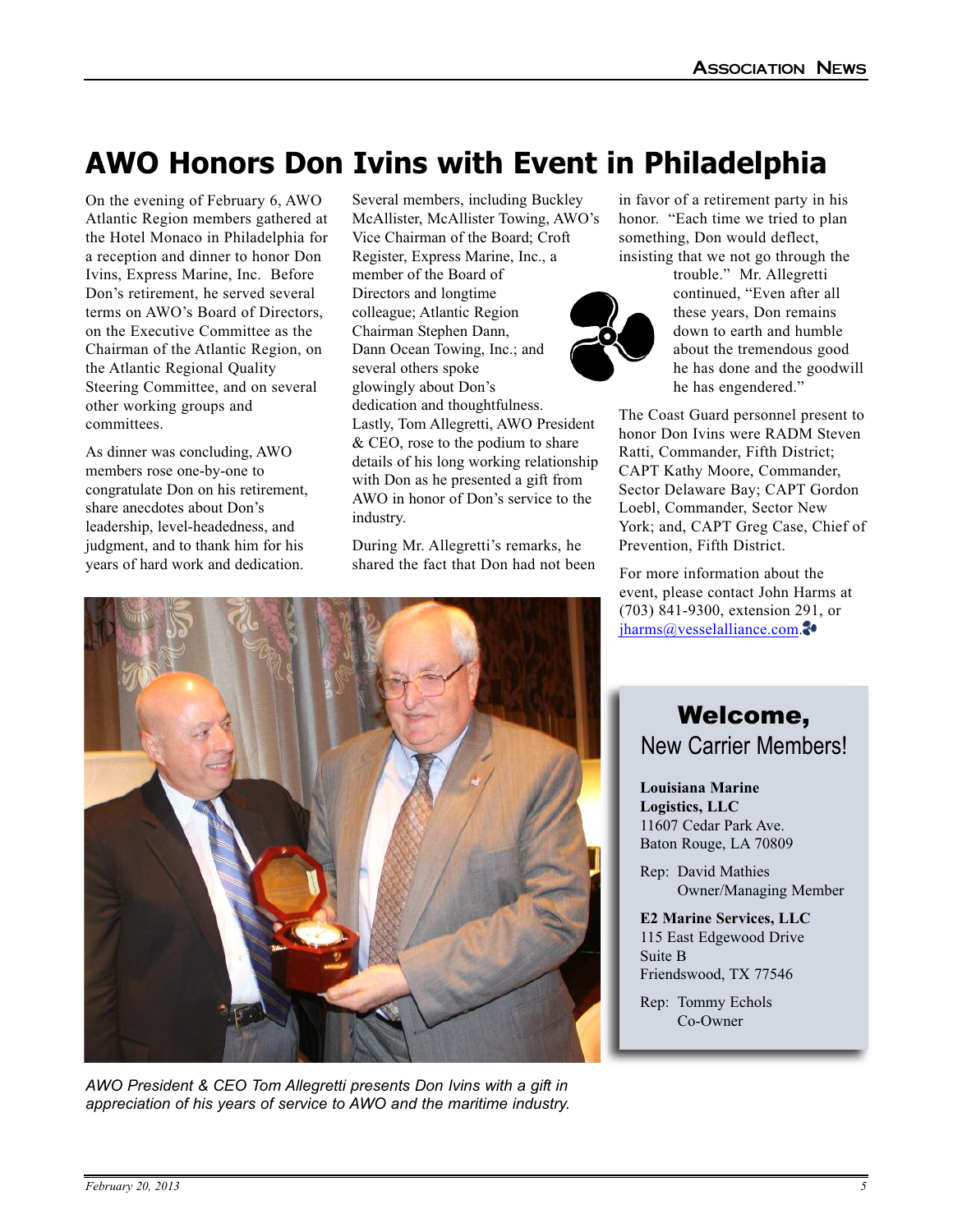# **AWO Honors Don Ivins with Event in Philadelphia**

On the evening of February 6, AWO Atlantic Region members gathered at the Hotel Monaco in Philadelphia for a reception and dinner to honor Don Ivins, Express Marine, Inc. Before Don's retirement, he served several terms on AWO's Board of Directors, on the Executive Committee as the Chairman of the Atlantic Region, on the Atlantic Regional Quality Steering Committee, and on several other working groups and committees.

As dinner was concluding, AWO members rose one-by-one to congratulate Don on his retirement, share anecdotes about Don's leadership, level-headedness, and judgment, and to thank him for his years of hard work and dedication.

Several members, including Buckley McAllister, McAllister Towing, AWO's Vice Chairman of the Board; Croft Register, Express Marine, Inc., a member of the Board of Directors and longtime colleague; Atlantic Region Chairman Stephen Dann, Dann Ocean Towing, Inc.; and several others spoke glowingly about Don's dedication and thoughtfulness. Lastly, Tom Allegretti, AWO President & CEO, rose to the podium to share details of his long working relationship with Don as he presented a gift from AWO in honor of Don's service to the industry.

During Mr. Allegretti's remarks, he shared the fact that Don had not been in favor of a retirement party in his honor. "Each time we tried to plan something, Don would deflect, insisting that we not go through the



trouble." Mr. Allegretti continued, "Even after all these years, Don remains down to earth and humble about the tremendous good he has done and the goodwill he has engendered."

The Coast Guard personnel present to honor Don Ivins were RADM Steven Ratti, Commander, Fifth District; CAPT Kathy Moore, Commander, Sector Delaware Bay; CAPT Gordon Loebl, Commander, Sector New York; and, CAPT Greg Case, Chief of Prevention, Fifth District.

For more information about the event, please contact John Harms at (703) 841-9300, extension 291, or  $iharms@vesselalliance.com$ .

*AWO President & CEO Tom Allegretti presents Don Ivins with a gift in appreciation of his years of service to AWO and the maritime industry.*

Welcome, New Carrier Members!

**Louisiana Marine Logistics, LLC** 11607 Cedar Park Ave. Baton Rouge, LA 70809

Rep: David Mathies Owner/Managing Member

**E2 Marine Services, LLC** 115 East Edgewood Drive Suite B Friendswood, TX 77546

Rep: Tommy Echols Co-Owner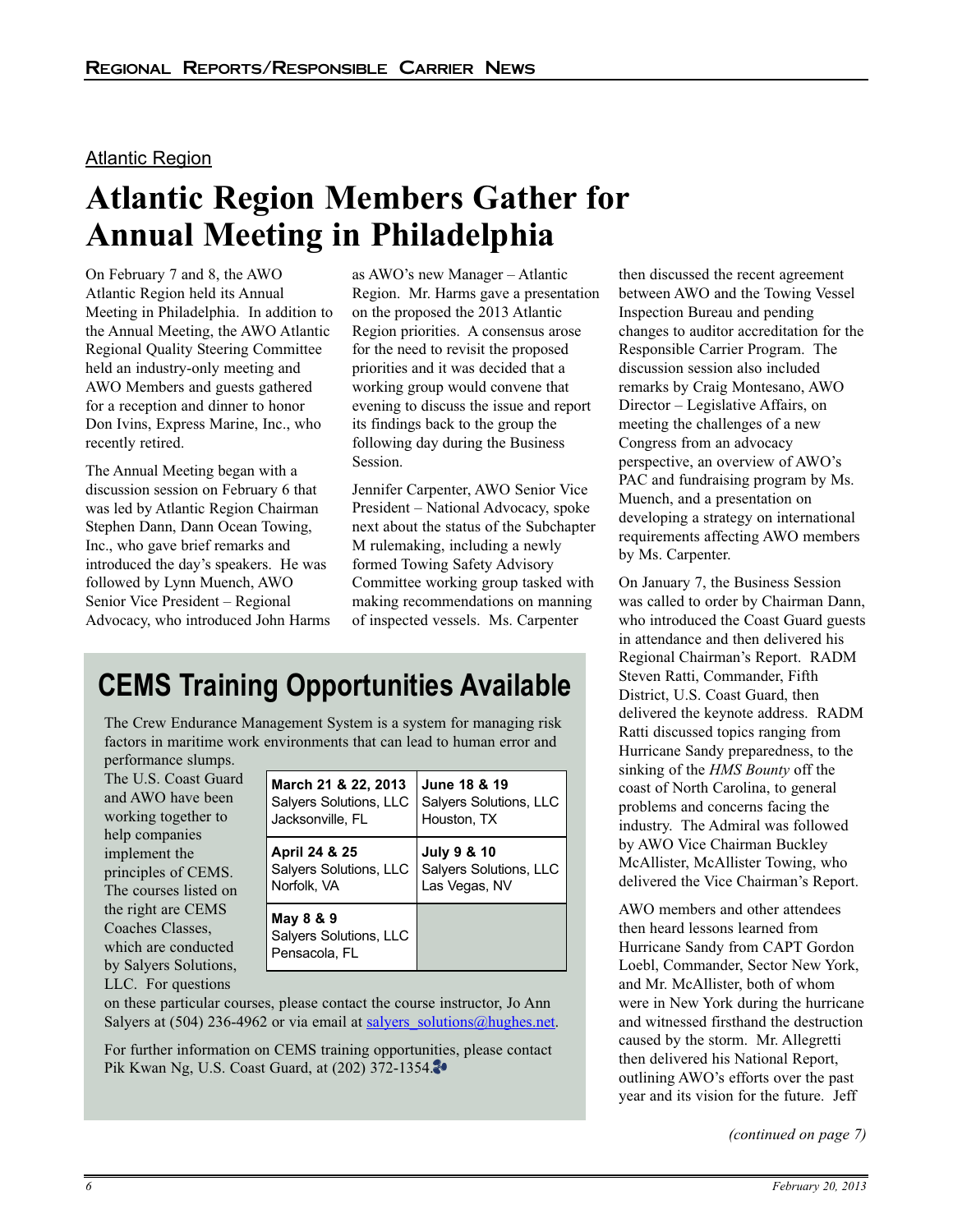#### Atlantic Region

# **Atlantic Region Members Gather for Annual Meeting in Philadelphia**

On February 7 and 8, the AWO Atlantic Region held its Annual Meeting in Philadelphia. In addition to the Annual Meeting, the AWO Atlantic Regional Quality Steering Committee held an industry-only meeting and AWO Members and guests gathered for a reception and dinner to honor Don Ivins, Express Marine, Inc., who recently retired.

The Annual Meeting began with a discussion session on February 6 that was led by Atlantic Region Chairman Stephen Dann, Dann Ocean Towing, Inc., who gave brief remarks and introduced the day's speakers. He was followed by Lynn Muench, AWO Senior Vice President – Regional Advocacy, who introduced John Harms as AWO's new Manager – Atlantic Region. Mr. Harms gave a presentation on the proposed the 2013 Atlantic Region priorities. A consensus arose for the need to revisit the proposed priorities and it was decided that a working group would convene that evening to discuss the issue and report its findings back to the group the following day during the Business Session.

Jennifer Carpenter, AWO Senior Vice President – National Advocacy, spoke next about the status of the Subchapter M rulemaking, including a newly formed Towing Safety Advisory Committee working group tasked with making recommendations on manning of inspected vessels. Ms. Carpenter

# **CEMS Training Opportunities Available**

The Crew Endurance Management System is a system for managing risk factors in maritime work environments that can lead to human error and

performance slumps. The U.S. Coast Guard and AWO have been working together to help companies implement the principles of CEMS. The courses listed on the right are CEMS Coaches Classes, which are conducted by Salyers Solutions, LLC. For questions

| March 21 & 22, 2013                                  | June 18 & 19           |
|------------------------------------------------------|------------------------|
| Salvers Solutions, LLC                               | Salvers Solutions, LLC |
| Jacksonville, FL                                     | Houston, TX            |
| April 24 & 25                                        | <b>July 9 &amp; 10</b> |
| Salvers Solutions, LLC                               | Salyers Solutions, LLC |
| Norfolk. VA                                          | Las Vegas, NV          |
| May 8 & 9<br>Salvers Solutions, LLC<br>Pensacola, FL |                        |

on these particular courses, please contact the course instructor, Jo Ann Salyers at (504) 236-4962 or via email at salyers solutions@hughes.net.

For further information on CEMS training opportunities, please contact Pik Kwan Ng, U.S. Coast Guard, at (202) 372-1354.

then discussed the recent agreement between AWO and the Towing Vessel Inspection Bureau and pending changes to auditor accreditation for the Responsible Carrier Program. The discussion session also included remarks by Craig Montesano, AWO Director – Legislative Affairs, on meeting the challenges of a new Congress from an advocacy perspective, an overview of AWO's PAC and fundraising program by Ms. Muench, and a presentation on developing a strategy on international requirements affecting AWO members by Ms. Carpenter.

On January 7, the Business Session was called to order by Chairman Dann, who introduced the Coast Guard guests in attendance and then delivered his Regional Chairman's Report. RADM Steven Ratti, Commander, Fifth District, U.S. Coast Guard, then delivered the keynote address. RADM Ratti discussed topics ranging from Hurricane Sandy preparedness, to the sinking of the *HMS Bounty* off the coast of North Carolina, to general problems and concerns facing the industry. The Admiral was followed by AWO Vice Chairman Buckley McAllister, McAllister Towing, who delivered the Vice Chairman's Report.

AWO members and other attendees then heard lessons learned from Hurricane Sandy from CAPT Gordon Loebl, Commander, Sector New York, and Mr. McAllister, both of whom were in New York during the hurricane and witnessed firsthand the destruction caused by the storm. Mr. Allegretti then delivered his National Report, outlining AWO's efforts over the past year and its vision for the future. Jeff

*(continued on page 7)*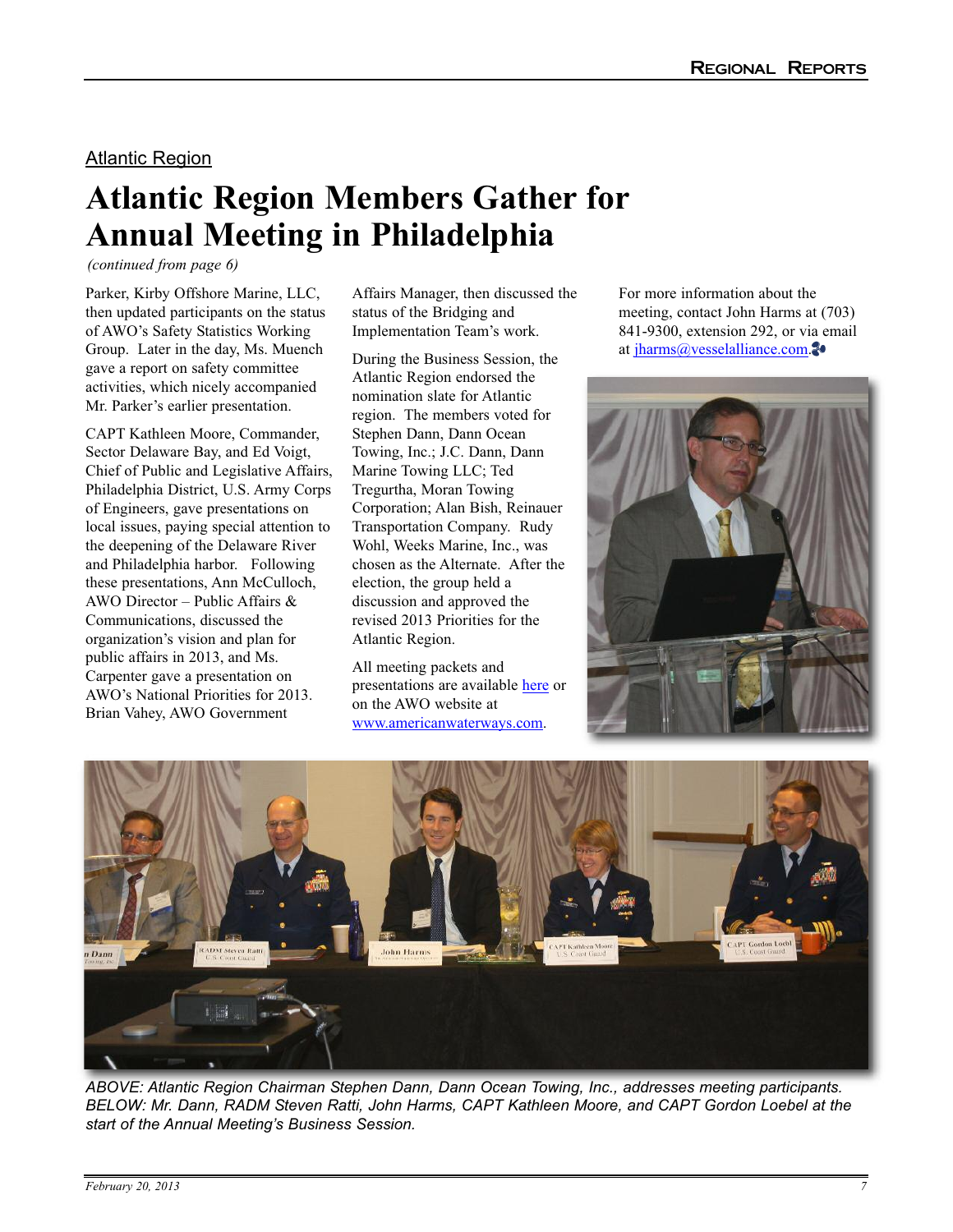#### Atlantic Region

# **Atlantic Region Members Gather for Annual Meeting in Philadelphia**

*(continued from page 6)*

Parker, Kirby Offshore Marine, LLC, then updated participants on the status of AWO's Safety Statistics Working Group. Later in the day, Ms. Muench gave a report on safety committee activities, which nicely accompanied Mr. Parker's earlier presentation.

CAPT Kathleen Moore, Commander, Sector Delaware Bay, and Ed Voigt, Chief of Public and Legislative Affairs, Philadelphia District, U.S. Army Corps of Engineers, gave presentations on local issues, paying special attention to the deepening of the Delaware River and Philadelphia harbor. Following these presentations, Ann McCulloch, AWO Director – Public Affairs & Communications, discussed the organization's vision and plan for public affairs in 2013, and Ms. Carpenter gave a presentation on AWO's National Priorities for 2013. Brian Vahey, AWO Government

Affairs Manager, then discussed the status of the Bridging and Implementation Team's work.

During the Business Session, the Atlantic Region endorsed the nomination slate for Atlantic region. The members voted for Stephen Dann, Dann Ocean Towing, Inc.; J.C. Dann, Dann Marine Towing LLC; Ted Tregurtha, Moran Towing Corporation; Alan Bish, Reinauer Transportation Company. Rudy Wohl, Weeks Marine, Inc., was chosen as the Alternate. After the election, the group held a discussion and approved the revised 2013 Priorities for the Atlantic Region.

All meeting packets and presentations are available [here](http://awo.networkats.com/members_online/members/login.asp?tp=http%3a%2f%2fwww.americanwaterways.com%2fawomemonly%2fconvention_presentations%2findex.html) or on the AWO website at www.americanwaterways.com.

For more information about the meeting, contact John Harms at (703) 841-9300, extension 292, or via email at jharms@vesselalliance.com.





*ABOVE: Atlantic Region Chairman Stephen Dann, Dann Ocean Towing, Inc., addresses meeting participants. BELOW: Mr. Dann, RADM Steven Ratti, John Harms, CAPT Kathleen Moore, and CAPT Gordon Loebel at the start of the Annual Meeting's Business Session.*